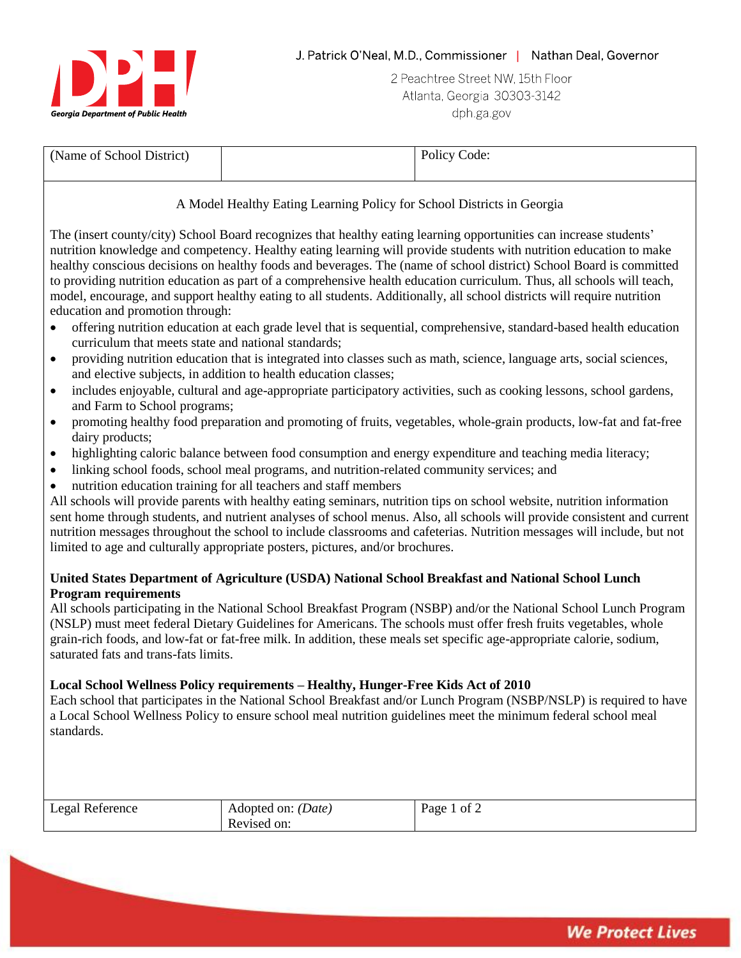

2 Peachtree Street NW, 15th Floor Atlanta, Georgia 30303-3142 dph ga gov

| (Name of School District) | Policy Code: |
|---------------------------|--------------|
|                           |              |

A Model Healthy Eating Learning Policy for School Districts in Georgia

The (insert county/city) School Board recognizes that healthy eating learning opportunities can increase students' nutrition knowledge and competency. Healthy eating learning will provide students with nutrition education to make healthy conscious decisions on healthy foods and beverages. The (name of school district) School Board is committed to providing nutrition education as part of a comprehensive health education curriculum. Thus, all schools will teach, model, encourage, and support healthy eating to all students. Additionally, all school districts will require nutrition education and promotion through:

- offering nutrition education at each grade level that is sequential, comprehensive, standard-based health education curriculum that meets state and national standards;
- providing nutrition education that is integrated into classes such as math, science, language arts, social sciences, and elective subjects, in addition to health education classes;
- includes enjoyable, cultural and age-appropriate participatory activities, such as cooking lessons, school gardens, and Farm to School programs;
- promoting healthy food preparation and promoting of fruits, vegetables, whole-grain products, low-fat and fat-free dairy products;
- highlighting caloric balance between food consumption and energy expenditure and teaching media literacy;
- linking school foods, school meal programs, and nutrition-related community services; and
- nutrition education training for all teachers and staff members

All schools will provide parents with healthy eating seminars, nutrition tips on school website, nutrition information sent home through students, and nutrient analyses of school menus. Also, all schools will provide consistent and current nutrition messages throughout the school to include classrooms and cafeterias. Nutrition messages will include, but not limited to age and culturally appropriate posters, pictures, and/or brochures.

## **United States Department of Agriculture (USDA) National School Breakfast and National School Lunch Program requirements**

All schools participating in the National School Breakfast Program (NSBP) and/or the National School Lunch Program (NSLP) must meet federal Dietary Guidelines for Americans. The schools must offer fresh fruits vegetables, whole grain-rich foods, and low-fat or fat-free milk. In addition, these meals set specific age-appropriate calorie, sodium, saturated fats and trans-fats limits.

# **Local School Wellness Policy requirements – Healthy, Hunger-Free Kids Act of 2010**

Each school that participates in the National School Breakfast and/or Lunch Program (NSBP/NSLP) is required to have a Local School Wellness Policy to ensure school meal nutrition guidelines meet the minimum federal school meal standards.

| Legal Reference | Adopted on: <i>(Date)</i> | Page<br>$\cdot$ of $\sim$ |
|-----------------|---------------------------|---------------------------|
|                 | Revised on:               |                           |